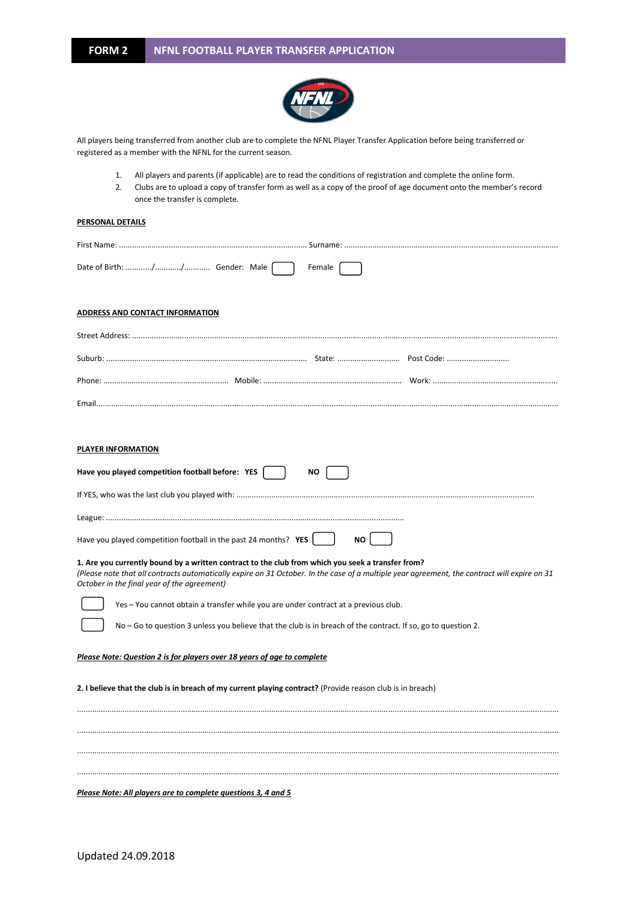

All players being transferred from another club are to complete the NFNL Player Transfer Application before being transferred or registered as a member with the NFNL for the current season.

- 1. All players and parents (if applicable) are to read the conditions of registration and complete the online form.
- 2. Clubs are to upload a copy of transfer form as well as a copy of the proof of age document onto the member's record once the transfer is complete.

## **PERSONAL DETAILS**

|                                                  | Female |  |
|--------------------------------------------------|--------|--|
| <b>ADDRESS AND CONTACT INFORMATION</b>           |        |  |
|                                                  |        |  |
|                                                  |        |  |
|                                                  |        |  |
|                                                  |        |  |
|                                                  |        |  |
| PLAYER INFORMATION                               |        |  |
| Have you played competition football before: YES | NO.    |  |
|                                                  |        |  |
|                                                  |        |  |

**1. Are you currently bound by a written contract to the club from which you seek a transfer from?**

Have you played competition football in the past 24 months? **YES**  $\begin{bmatrix} \quad & \quad \end{bmatrix}$  **NO** 

*(Please note that all contracts automatically expire on 31 October. In the case of a multiple year agreement, the contract will expire on 31 October in the final year of the agreement)*

...............................................................................................................................................................................................................................

............................................................................................................................................................................................................................... ...............................................................................................................................................................................................................................

Yes – You cannot obtain a transfer while you are under contract at a previous club.

No – Go to question 3 unless you believe that the club is in breach of the contract. If so, go to question 2.

## *Please Note: Question 2 is for players over 18 years of age to complete*

**2. I believe that the club is in breach of my current playing contract?** (Provide reason club is in breach)

...............................................................................................................................................................................................................................

*Please Note: All players are to complete questions 3, 4 and 5*